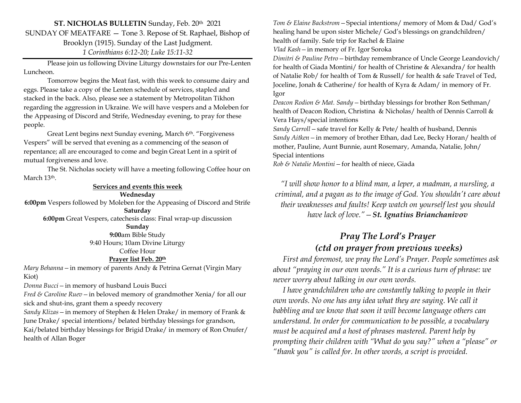**ST. NICHOLAS BULLETIN** Sunday, Feb. 20th 2021 SUNDAY OF MEATFARE — Tone 3. Repose of St. Raphael, Bishop of Brooklyn (1915). Sunday of the Last Judgment. *1 Corinthians 6:12-20; Luke 15:11-32*

Please join us following Divine Liturgy downstairs for our Pre-Lenten Luncheon.

Tomorrow begins the Meat fast, with this week to consume dairy and eggs. Please take a copy of the Lenten schedule of services, stapled and stacked in the back. Also, please see a statement by Metropolitan Tikhon regarding the aggression in Ukraine. We will have vespers and a Moleben for the Appeasing of Discord and Strife, Wednesday evening, to pray for these people.

Great Lent begins next Sunday evening, March 6<sup>th</sup>. "Forgiveness Vespers" will be served that evening as a commencing of the season of repentance; all are encouraged to come and begin Great Lent in a spirit of mutual forgiveness and love.

The St. Nicholas society will have a meeting following Coffee hour on March 13<sup>th</sup>.

## **Services and events this week**

**Wednesday 6:00pm** Vespers followed by Moleben for the Appeasing of Discord and Strife **Saturday**

**6:00pm** Great Vespers, catechesis class: Final wrap-up discussion

**Sunday 9:00**am Bible Study 9:40 Hours; 10am Divine Liturgy Coffee Hour

## **Prayer list Feb. 20th**

*Mary Behanna—*in memory of parents Andy & Petrina Gernat (Virgin Mary Kiot)

*Donna Bucci—*in memory of husband Louis Bucci

*Fred & Caroline Ruev—*in beloved memory of grandmother Xenia/ for all our sick and shut-ins, grant them a speedy recovery

*Sandy Klizas—*in memory of Stephen & Helen Drake/ in memory of Frank & June Drake/ special intentions/ belated birthday blessings for grandson, Kai/belated birthday blessings for Brigid Drake/ in memory of Ron Onufer/ health of Allan Boger

*Tom & Elaine Backstrom—*Special intentions/ memory of Mom & Dad/ God's healing hand be upon sister Michele/ God's blessings on grandchildren/ health of family. Safe trip for Rachel & Elaine

*Vlad Kash—*in memory of Fr. Igor Soroka

*Dimitri & Pauline Petro—*birthday remembrance of Uncle George Leandovich/ for health of Giada Montini/ for health of Christine & Alexandra/ for health of Natalie Rob/ for health of Tom & Russell/ for health & safe Travel of Ted, Joceline, Jonah & Catherine/ for health of Kyra & Adam/ in memory of Fr. Igor

*Deacon Rodion & Mat. Sandy—*birthday blessings for brother Ron Sethman/ health of Deacon Rodion, Christina & Nicholas/ health of Dennis Carroll & Vera Hays/special intentions

*Sandy Carroll—*safe travel for Kelly & Pete/ health of husband, Dennis *Sandy Aitken—*in memory of brother Ethan, dad Lee, Becky Horan/ health of mother, Pauline, Aunt Bunnie, aunt Rosemary, Amanda, Natalie, John/ Special intentions

*Rob & Natalie Montini—*for health of niece, Giada

*"I will show honor to a blind man, a leper, a madman, a nursling, a criminal, and a pagan as to the image of God. You shouldn't care about their weaknesses and faults! Keep watch on yourself lest you should have lack of love."—St. Ignatius Brianchanivov*

## *Pray The Lord's Prayer (ctd on prayer from previous weeks)*

 *First and foremost, we pray the Lord's Prayer. People sometimes ask about "praying in our own words." It is a curious turn of phrase: we never worry about talking in our own words.* 

 *I have grandchildren who are constantly talking to people in their own words. No one has any idea what they are saying. We call it babbling and we know that soon it will become language others can understand. In order for communication to be possible, a vocabulary must be acquired and a host of phrases mastered. Parent help by prompting their children with "What do you say?" when a "please" or "thank you" is called for. In other words, a script is provided.*